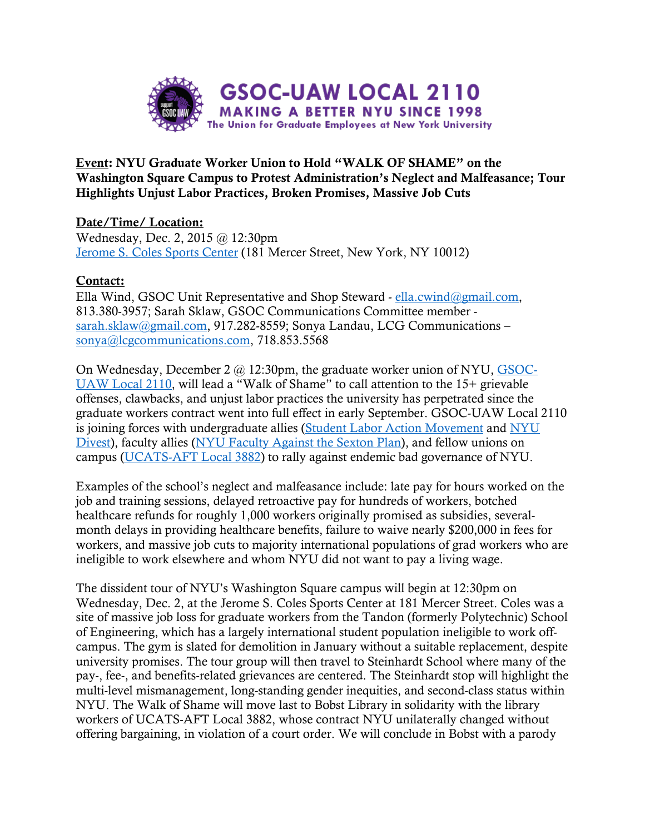

Event: NYU Graduate Worker Union to Hold "WALK OF SHAME" on the Washington Square Campus to Protest Administration's Neglect and Malfeasance; Tour Highlights Unjust Labor Practices, Broken Promises, Massive Job Cuts

Date/Time/ Location: Wednesday, Dec. 2, 2015 @ 12:30pm Jerome S. Coles Sports Center (181 Mercer Street, New York, NY 10012)

## Contact:

Ella Wind, GSOC Unit Representative and Shop Steward - ella.cwind@gmail.com, 813.380-3957; Sarah Sklaw, GSOC Communications Committee member sarah.sklaw@gmail.com, 917.282-8559; Sonya Landau, LCG Communications – sonya@lcgcommunications.com, 718.853.5568

On Wednesday, December 2 @ 12:30pm, the graduate worker union of NYU, GSOC-UAW Local 2110, will lead a "Walk of Shame" to call attention to the 15+ grievable offenses, clawbacks, and unjust labor practices the university has perpetrated since the graduate workers contract went into full effect in early September. GSOC-UAW Local 2110 is joining forces with undergraduate allies (Student Labor Action Movement and NYU Divest), faculty allies (NYU Faculty Against the Sexton Plan), and fellow unions on campus (UCATS-AFT Local 3882) to rally against endemic bad governance of NYU.

Examples of the school's neglect and malfeasance include: late pay for hours worked on the job and training sessions, delayed retroactive pay for hundreds of workers, botched healthcare refunds for roughly 1,000 workers originally promised as subsidies, severalmonth delays in providing healthcare benefits, failure to waive nearly \$200,000 in fees for workers, and massive job cuts to majority international populations of grad workers who are ineligible to work elsewhere and whom NYU did not want to pay a living wage.

The dissident tour of NYU's Washington Square campus will begin at 12:30pm on Wednesday, Dec. 2, at the Jerome S. Coles Sports Center at 181 Mercer Street. Coles was a site of massive job loss for graduate workers from the Tandon (formerly Polytechnic) School of Engineering, which has a largely international student population ineligible to work offcampus. The gym is slated for demolition in January without a suitable replacement, despite university promises. The tour group will then travel to Steinhardt School where many of the pay-, fee-, and benefits-related grievances are centered. The Steinhardt stop will highlight the multi-level mismanagement, long-standing gender inequities, and second-class status within NYU. The Walk of Shame will move last to Bobst Library in solidarity with the library workers of UCATS-AFT Local 3882, whose contract NYU unilaterally changed without offering bargaining, in violation of a court order. We will conclude in Bobst with a parody